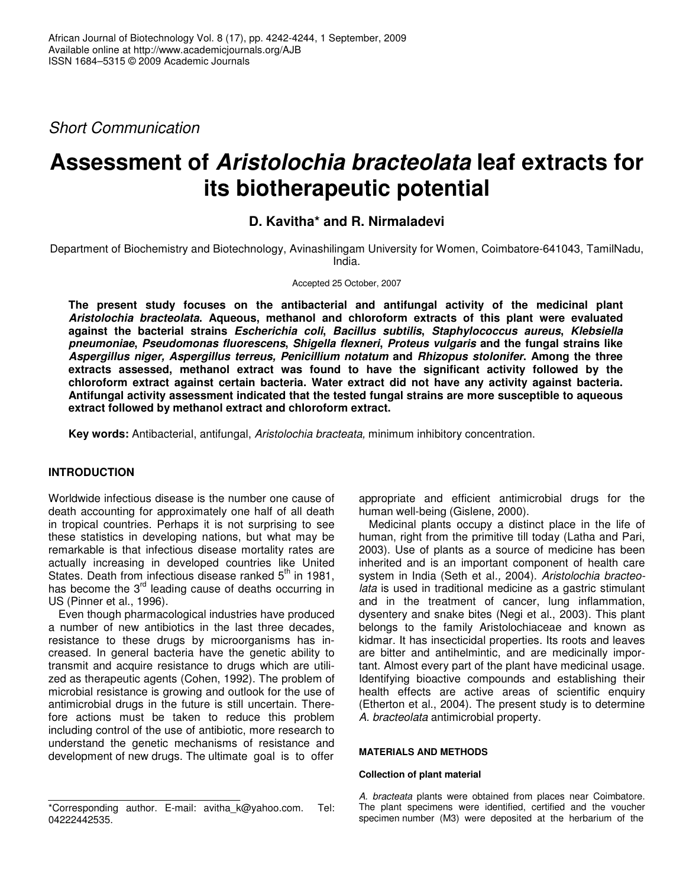*Short Communication*

# **Assessment of** *Aristolochia bracteolata* **leaf extracts for its biotherapeutic potential**

# **D. Kavitha\* and R. Nirmaladevi**

Department of Biochemistry and Biotechnology, Avinashilingam University for Women, Coimbatore-641043, TamilNadu, India.

Accepted 25 October, 2007

**The present study focuses on the antibacterial and antifungal activity of the medicinal plant** *Aristolochia bracteolata***. Aqueous, methanol and chloroform extracts of this plant were evaluated against the bacterial strains** *Escherichia coli***,** *Bacillus subtilis***,** *Staphylococcus aureus***,** *Klebsiella pneumoniae***,** *Pseudomonas fluorescens***,** *Shigella flexneri***,** *Proteus vulgaris* **and the fungal strains like** *Aspergillus niger, Aspergillus terreus, Penicillium notatum* **and** *Rhizopus stolonifer***. Among the three extracts assessed, methanol extract was found to have the significant activity followed by the chloroform extract against certain bacteria. Water extract did not have any activity against bacteria. Antifungal activity assessment indicated that the tested fungal strains are more susceptible to aqueous extract followed by methanol extract and chloroform extract.**

**Key words:** Antibacterial, antifungal, *Aristolochia bracteata,* minimum inhibitory concentration.

# **INTRODUCTION**

Worldwide infectious disease is the number one cause of death accounting for approximately one half of all death in tropical countries. Perhaps it is not surprising to see these statistics in developing nations, but what may be remarkable is that infectious disease mortality rates are actually increasing in developed countries like United States. Death from infectious disease ranked 5<sup>th</sup> in 1981, has become the 3<sup>rd</sup> leading cause of deaths occurring in US (Pinner et al., 1996).

Even though pharmacological industries have produced a number of new antibiotics in the last three decades, resistance to these drugs by microorganisms has increased. In general bacteria have the genetic ability to transmit and acquire resistance to drugs which are utilized as therapeutic agents (Cohen, 1992). The problem of microbial resistance is growing and outlook for the use of antimicrobial drugs in the future is still uncertain. Therefore actions must be taken to reduce this problem including control of the use of antibiotic, more research to understand the genetic mechanisms of resistance and development of new drugs. The ultimate goal is to offer

appropriate and efficient antimicrobial drugs for the human well-being (Gislene, 2000).

Medicinal plants occupy a distinct place in the life of human, right from the primitive till today (Latha and Pari, 2003). Use of plants as a source of medicine has been inherited and is an important component of health care system in India (Seth et al*.,* 2004). *Aristolochia bracteolata* is used in traditional medicine as a gastric stimulant and in the treatment of cancer, lung inflammation, dysentery and snake bites (Negi et al., 2003). This plant belongs to the family Aristolochiaceae and known as kidmar. It has insecticidal properties. Its roots and leaves are bitter and antihelmintic, and are medicinally important. Almost every part of the plant have medicinal usage. Identifying bioactive compounds and establishing their health effects are active areas of scientific enquiry (Etherton et al., 2004). The present study is to determine *A. bracteolata* antimicrobial property.

## **MATERIALS AND METHODS**

## **Collection of plant material**

*A. bracteata* plants were obtained from places near Coimbatore. The plant specimens were identified, certified and the voucher specimen number (M3) were deposited at the herbarium of the

<sup>\*</sup>Corresponding author. E-mail: avitha\_k@yahoo.com. Tel: 04222442535.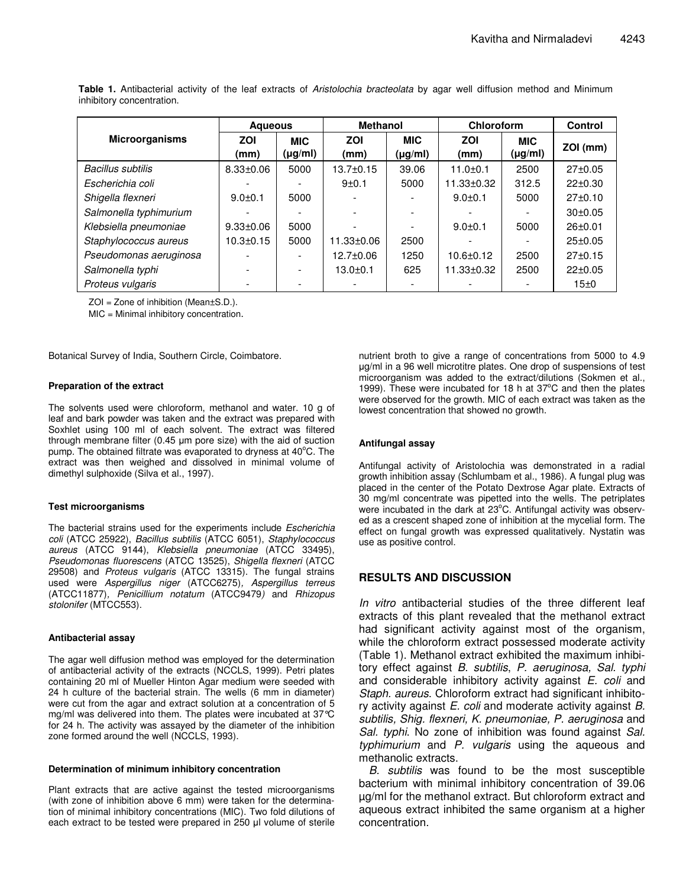|                          | <b>Agueous</b>  |                            | <b>Methanol</b>  |                       | Chloroform       |                       | <b>Control</b> |
|--------------------------|-----------------|----------------------------|------------------|-----------------------|------------------|-----------------------|----------------|
| <b>Microorganisms</b>    | ZOI<br>(mm)     | <b>MIC</b><br>$(\mu g/ml)$ | ZOI<br>(mm)      | <b>MIC</b><br>(µg/ml) | ZOI<br>(mm)      | <b>MIC</b><br>(µg/ml) | ZOI (mm)       |
| <b>Bacillus subtilis</b> | $8.33 \pm 0.06$ | 5000                       | $13.7 + 0.15$    | 39.06                 | $11.0 + 0.1$     | 2500                  | 27±0.05        |
| Escherichia coli         |                 |                            | $9+0.1$          | 5000                  | $11.33 \pm 0.32$ | 312.5                 | $22 \pm 0.30$  |
| Shigella flexneri        | $9.0 + 0.1$     | 5000                       |                  |                       | $9.0 + 0.1$      | 5000                  | $27 \pm 0.10$  |
| Salmonella typhimurium   |                 |                            |                  |                       |                  |                       | 30±0.05        |
| Klebsiella pneumoniae    | $9.33 \pm 0.06$ | 5000                       |                  |                       | $9.0 + 0.1$      | 5000                  | $26 \pm 0.01$  |
| Staphylococcus aureus    | $10.3 \pm 0.15$ | 5000                       | $11.33 \pm 0.06$ | 2500                  |                  |                       | $25 \pm 0.05$  |
| Pseudomonas aeruginosa   |                 |                            | 12.7±0.06        | 1250                  | $10.6 \pm 0.12$  | 2500                  | 27±0.15        |
| Salmonella typhi         |                 |                            | $13.0 + 0.1$     | 625                   | $11.33 \pm 0.32$ | 2500                  | $22 \pm 0.05$  |
| Proteus vulgaris         |                 |                            |                  |                       |                  |                       | 15±0           |

**Table 1.** Antibacterial activity of the leaf extracts of *Aristolochia bracteolata* by agar well diffusion method and Minimum inhibitory concentration.

ZOI = Zone of inhibition (Mean±S.D.).

MIC = Minimal inhibitory concentration.

Botanical Survey of India, Southern Circle, Coimbatore.

## **Preparation of the extract**

The solvents used were chloroform, methanol and water. 10 g of leaf and bark powder was taken and the extract was prepared with Soxhlet using 100 ml of each solvent. The extract was filtered through membrane filter  $(0.45 \mu m)$  pore size) with the aid of suction pump. The obtained filtrate was evaporated to dryness at 40°C. The extract was then weighed and dissolved in minimal volume of dimethyl sulphoxide (Silva et al., 1997).

#### **Test microorganisms**

The bacterial strains used for the experiments include *Escherichia coli* (ATCC 25922), *Bacillus subtilis* (ATCC 6051), *Staphylococcus aureus* (ATCC 9144), *Klebsiella pneumoniae* (ATCC 33495), *Pseudomonas fluorescens* (ATCC 13525), *Shigella flexneri* (ATCC 29508) and *Proteus vulgaris* (ATCC 13315). The fungal strains used were *Aspergillus niger* (ATCC6275)*, Aspergillus terreus* (ATCC11877)*, Penicillium notatum* (ATCC9479*)* and *Rhizopus stolonifer* (MTCC553).

#### **Antibacterial assay**

The agar well diffusion method was employed for the determination of antibacterial activity of the extracts (NCCLS, 1999). Petri plates containing 20 ml of Mueller Hinton Agar medium were seeded with 24 h culture of the bacterial strain. The wells (6 mm in diameter) were cut from the agar and extract solution at a concentration of 5 mg/ml was delivered into them. The plates were incubated at 37°C for 24 h. The activity was assayed by the diameter of the inhibition zone formed around the well (NCCLS, 1993).

#### **Determination of minimum inhibitory concentration**

Plant extracts that are active against the tested microorganisms (with zone of inhibition above 6 mm) were taken for the determination of minimal inhibitory concentrations (MIC). Two fold dilutions of each extract to be tested were prepared in 250 µl volume of sterile nutrient broth to give a range of concentrations from 5000 to 4.9 g/ml in a 96 well microtitre plates. One drop of suspensions of test microorganism was added to the extract/dilutions (Sokmen et al., 1999). These were incubated for 18 h at 37°C and then the plates were observed for the growth. MIC of each extract was taken as the lowest concentration that showed no growth.

## **Antifungal assay**

Antifungal activity of Aristolochia was demonstrated in a radial growth inhibition assay (Schlumbam et al., 1986). A fungal plug was placed in the center of the Potato Dextrose Agar plate. Extracts of 30 mg/ml concentrate was pipetted into the wells. The petriplates were incubated in the dark at 23°C. Antifungal activity was observed as a crescent shaped zone of inhibition at the mycelial form. The effect on fungal growth was expressed qualitatively. Nystatin was use as positive control.

# **RESULTS AND DISCUSSION**

*In vitro* antibacterial studies of the three different leaf extracts of this plant revealed that the methanol extract had significant activity against most of the organism, while the chloroform extract possessed moderate activity (Table 1). Methanol extract exhibited the maximum inhibitory effect against *B. subtilis*, *P. aeruginosa, Sal. typhi* and considerable inhibitory activity against *E. coli* and *Staph. aureus*. Chloroform extract had significant inhibitory activity against *E. coli* and moderate activity against *B. subtilis, Shig. flexneri, K. pneumoniae, P. aeruginosa* and *Sal. typhi*. No zone of inhibition was found against *Sal. typhimurium* and *P. vulgaris* using the aqueous and methanolic extracts.

*B. subtilis* was found to be the most susceptible bacterium with minimal inhibitory concentration of 39.06 µg/ml for the methanol extract. But chloroform extract and aqueous extract inhibited the same organism at a higher concentration.